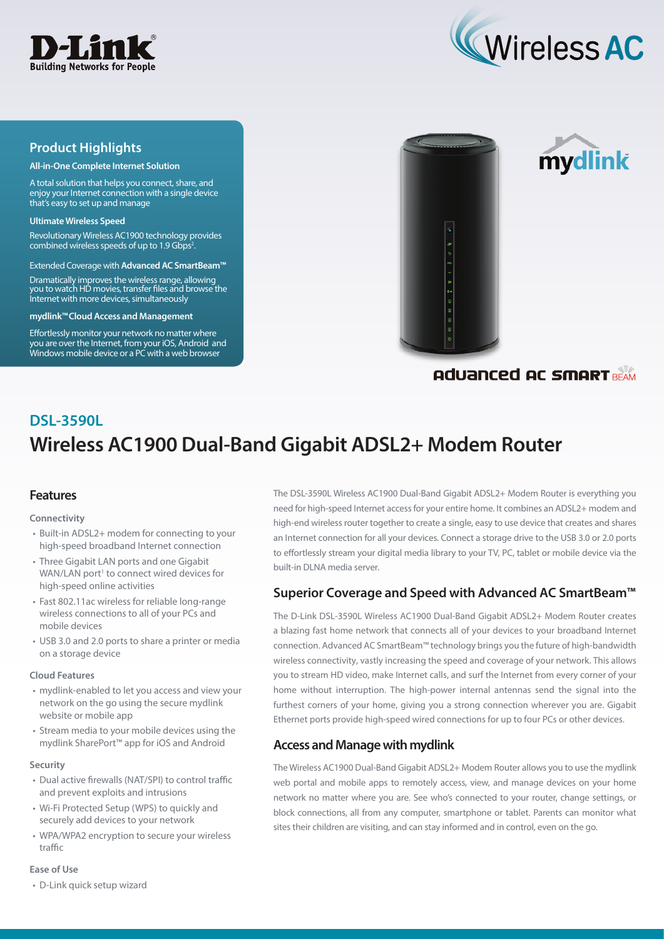



## **Product Highlights**

#### **All-in-One Complete Internet Solution**

A total solution that helps you connect, share, and enjoy your Internet connection with a single device that's easy to set up and manage

#### **Ultimate Wireless Speed**

Revolutionary Wireless AC1900 technology provides combined wireless speeds of up to 1.9 Gbps<sup>2</sup>.

Extended Coverage with **Advanced AC SmartBeam™** 

Dramatically improves the wireless range, allowing you to watch HD movies, transfer files and browse the Internet with more devices, simultaneously

**mydlink™Cloud Access and Management**

Effortlessly monitor your network no matter where you are over the Internet, from your iOS, Android and Windows mobile device or a PC with a web browser





## Aduanced AC SMART BEAM

# **Wireless AC1900 Dual-Band Gigabit ADSL2+ Modem Router DSL-3590L**

## **Features**

#### **Connectivity**

- Built-in ADSL2+ modem for connecting to your high-speed broadband Internet connection
- Three Gigabit LAN ports and one Gigabit WAN/LAN port<sup>1</sup> to connect wired devices for high-speed online activities
- Fast 802.11ac wireless for reliable long-range wireless connections to all of your PCs and mobile devices
- USB 3.0 and 2.0 ports to share a printer or media on a storage device

#### **Cloud Features**

- mydlink-enabled to let you access and view your network on the go using the secure mydlink website or mobile app
- Stream media to your mobile devices using the mydlink SharePort™ app for iOS and Android

#### **Security**

- Dual active firewalls (NAT/SPI) to control traffic and prevent exploits and intrusions
- Wi-Fi Protected Setup (WPS) to quickly and securely add devices to your network
- WPA/WPA2 encryption to secure your wireless traffic

#### **Ease of Use**

• D-Link quick setup wizard

The DSL-3590L Wireless AC1900 Dual-Band Gigabit ADSL2+ Modem Router is everything you need for high-speed Internet access for your entire home. It combines an ADSL2+ modem and high-end wireless router together to create a single, easy to use device that creates and shares an Internet connection for all your devices. Connect a storage drive to the USB 3.0 or 2.0 ports to effortlessly stream your digital media library to your TV, PC, tablet or mobile device via the built-in DLNA media server.

## **Superior Coverage and Speed with Advanced AC SmartBeam™**

The D-Link DSL-3590L Wireless AC1900 Dual-Band Gigabit ADSL2+ Modem Router creates a blazing fast home network that connects all of your devices to your broadband Internet connection. Advanced AC SmartBeam™ technology brings you the future of high-bandwidth wireless connectivity, vastly increasing the speed and coverage of your network. This allows you to stream HD video, make Internet calls, and surf the Internet from every corner of your home without interruption. The high-power internal antennas send the signal into the furthest corners of your home, giving you a strong connection wherever you are. Gigabit Ethernet ports provide high-speed wired connections for up to four PCs or other devices.

## **Access and Manage with mydlink**

The Wireless AC1900 Dual-Band Gigabit ADSL2+ Modem Router allows you to use the mydlink web portal and mobile apps to remotely access, view, and manage devices on your home network no matter where you are. See who's connected to your router, change settings, or block connections, all from any computer, smartphone or tablet. Parents can monitor what sites their children are visiting, and can stay informed and in control, even on the go.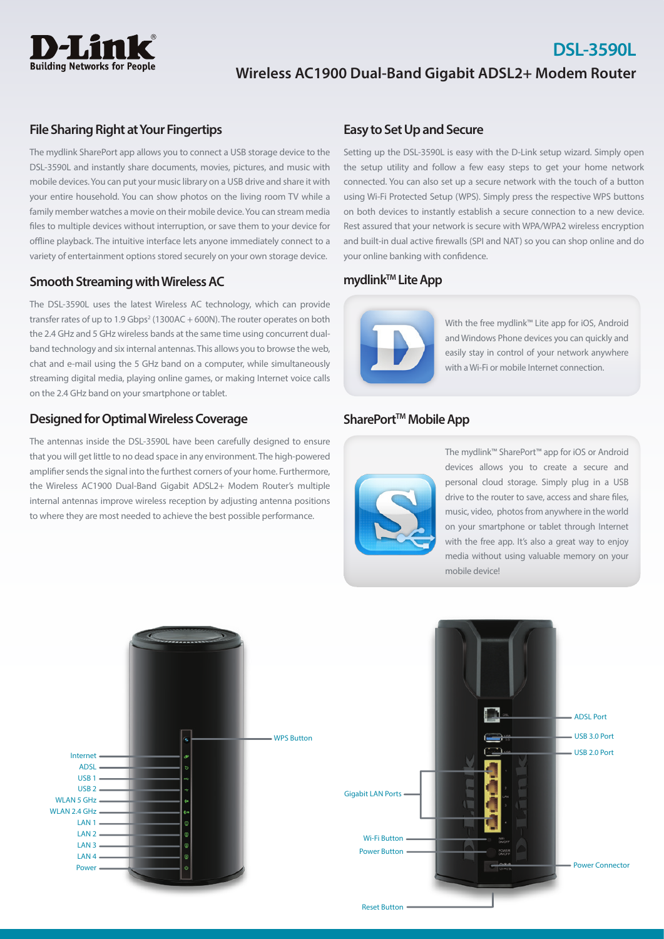

# **Wireless AC1900 Dual-Band Gigabit ADSL2+ Modem Router**

#### **File Sharing Right at Your Fingertips**

The mydlink SharePort app allows you to connect a USB storage device to the DSL-3590L and instantly share documents, movies, pictures, and music with mobile devices. You can put your music library on a USB drive and share it with your entire household. You can show photos on the living room TV while a family member watches a movie on their mobile device. You can stream media files to multiple devices without interruption, or save them to your device for offline playback. The intuitive interface lets anyone immediately connect to a variety of entertainment options stored securely on your own storage device.

#### **Smooth Streaming with Wireless AC**

The DSL-3590L uses the latest Wireless AC technology, which can provide transfer rates of up to  $1.9$  Gbps<sup>2</sup> (1300AC + 600N). The router operates on both the 2.4 GHz and 5 GHz wireless bands at the same time using concurrent dualband technology and six internal antennas. This allows you to browse the web, chat and e-mail using the 5 GHz band on a computer, while simultaneously streaming digital media, playing online games, or making Internet voice calls on the 2.4 GHz band on your smartphone or tablet.

## **Designed for Optimal Wireless Coverage**

The antennas inside the DSL-3590L have been carefully designed to ensure that you will get little to no dead space in any environment. The high-powered amplifier sends the signal into the furthest corners of your home. Furthermore, the Wireless AC1900 Dual-Band Gigabit ADSL2+ Modem Router's multiple internal antennas improve wireless reception by adjusting antenna positions to where they are most needed to achieve the best possible performance.

### **Easy to Set Up and Secure**

Setting up the DSL-3590L is easy with the D-Link setup wizard. Simply open the setup utility and follow a few easy steps to get your home network connected. You can also set up a secure network with the touch of a button using Wi-Fi Protected Setup (WPS). Simply press the respective WPS buttons on both devices to instantly establish a secure connection to a new device. Rest assured that your network is secure with WPA/WPA2 wireless encryption and built-in dual active firewalls (SPI and NAT) so you can shop online and do your online banking with confidence.

## **mydlink™ Lite App**



With the free mydlink™ Lite app for iOS, Android and Windows Phone devices you can quickly and easily stay in control of your network anywhere with a Wi-Fi or mobile Internet connection.

**DSL-3590L**

### SharePort<sup>™</sup> Mobile App



The mydlink™ SharePort™ app for iOS or Android devices allows you to create a secure and personal cloud storage. Simply plug in a USB drive to the router to save, access and share files, music, video, photos from anywhere in the world on your smartphone or tablet through Internet with the free app. It's also a great way to enjoy media without using valuable memory on your mobile device!